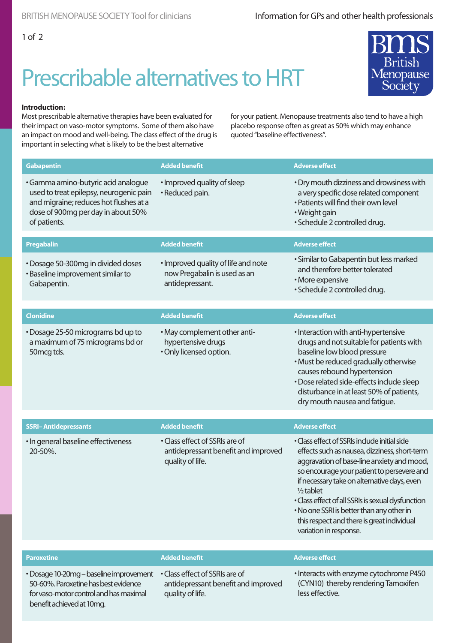## Prescribable alternatives to HRT



## **Introduction:**

Most prescribable alternative therapies have been evaluated for their impact on vaso-motor symptoms. Some of them also have an impact on mood and well-being. The class effect of the drug is important in selecting what is likely to be the best alternative

for your patient. Menopause treatments also tend to have a high placebo response often as great as 50% which may enhance quoted "baseline effectiveness".

| <b>Gabapentin</b>                                                                                                                                                              | <b>Added benefit</b>                                                                      | <b>Adverse effect</b>                                                                                                                                                                                                                                                                                                                                                                                                              |
|--------------------------------------------------------------------------------------------------------------------------------------------------------------------------------|-------------------------------------------------------------------------------------------|------------------------------------------------------------------------------------------------------------------------------------------------------------------------------------------------------------------------------------------------------------------------------------------------------------------------------------------------------------------------------------------------------------------------------------|
| · Gamma amino-butyric acid analogue<br>used to treat epilepsy, neurogenic pain<br>and migraine; reduces hot flushes at a<br>dose of 900mg per day in about 50%<br>of patients. | · Improved quality of sleep<br>· Reduced pain.                                            | • Dry mouth dizziness and drowsiness with<br>a very specific dose related component<br>• Patients will find their own level<br>• Weight gain<br>· Schedule 2 controlled drug.                                                                                                                                                                                                                                                      |
| Pregabalin                                                                                                                                                                     | <b>Added benefit</b>                                                                      | <b>Adverse effect</b>                                                                                                                                                                                                                                                                                                                                                                                                              |
| • Dosage 50-300mg in divided doses<br>• Baseline improvement similar to<br>Gabapentin.                                                                                         | · Improved quality of life and note<br>now Pregabalin is used as an<br>antidepressant.    | · Similar to Gabapentin but less marked<br>and therefore better tolerated<br>· More expensive<br>· Schedule 2 controlled drug.                                                                                                                                                                                                                                                                                                     |
| <b>Clonidine</b>                                                                                                                                                               | <b>Added benefit</b>                                                                      | <b>Adverse effect</b>                                                                                                                                                                                                                                                                                                                                                                                                              |
| • Dosage 25-50 micrograms bd up to<br>a maximum of 75 micrograms bd or<br>50 mcg tds.                                                                                          | • May complement other anti-<br>hypertensive drugs<br>· Only licensed option.             | • Interaction with anti-hypertensive<br>drugs and not suitable for patients with<br>baseline low blood pressure<br>· Must be reduced gradually otherwise<br>causes rebound hypertension<br>· Dose related side-effects include sleep<br>disturbance in at least 50% of patients,<br>dry mouth nausea and fatigue.                                                                                                                  |
|                                                                                                                                                                                |                                                                                           |                                                                                                                                                                                                                                                                                                                                                                                                                                    |
| <b>SSRI-Antidepressants</b>                                                                                                                                                    | <b>Added benefit</b>                                                                      | <b>Adverse effect</b>                                                                                                                                                                                                                                                                                                                                                                                                              |
| · In general baseline effectiveness<br>20-50%.                                                                                                                                 | • Class effect of SSRIs are of<br>antidepressant benefit and improved<br>quality of life. | • Class effect of SSRIs include initial side<br>effects such as nausea, dizziness, short-term<br>aggravation of base-line anxiety and mood,<br>so encourage your patient to persevere and<br>if necessary take on alternative days, even<br>$1/2$ tablet<br>• Class effect of all SSRIs is sexual dysfunction<br>• No one SSRI is better than any other in<br>this respect and there is great individual<br>variation in response. |
|                                                                                                                                                                                |                                                                                           |                                                                                                                                                                                                                                                                                                                                                                                                                                    |
| <b>Paroxetine</b>                                                                                                                                                              | <b>Added benefit</b>                                                                      | <b>Adverse effect</b>                                                                                                                                                                                                                                                                                                                                                                                                              |
| • Dosage 10-20mg – baseline improvement<br>50-60%. Paroxetine has best evidence<br>for vaso-motor control and has maximal<br>benefit achieved at 10mg.                         | • Class effect of SSRIs are of<br>antidepressant benefit and improved<br>quality of life. | • Interacts with enzyme cytochrome P450<br>(CYN10) thereby rendering Tamoxifen<br>less effective.                                                                                                                                                                                                                                                                                                                                  |